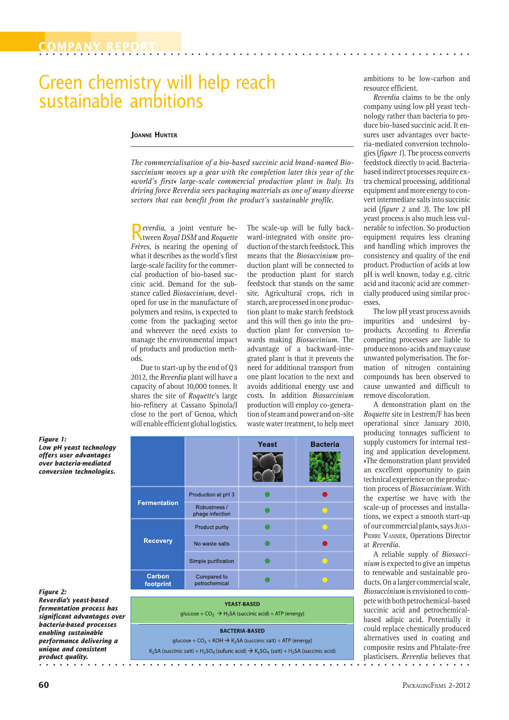# Green chemistry will help reach sustainable ambitions

#### **JOANNE HUNTER**

*The commercialisation of a bio-based succinic acid brand-named Biosuccinium moves up a gear with the completion later this year of the »world's first« large-scale commercial production plant in Italy. Its driving force Reverdia sees packaging materials as one of many diverse sectors that can benefit from the product's sustainable profile.*

**\_\_\_\_\_\_\_\_\_\_\_\_\_\_\_\_\_\_\_\_\_\_\_\_\_\_\_\_\_\_\_\_\_\_\_\_\_\_\_\_\_\_\_\_\_\_\_\_\_\_\_\_\_\_\_\_\_\_\_\_\_\_\_\_\_\_\_\_\_\_\_\_\_\_\_\_\_\_\_\_\_\_\_\_\_\_\_\_\_\_\_\_\_\_\_\_\_\_\_\_**

R tween *Royal DSM* and *Roquette everdia*, a joint venture be-*Frères*, is nearing the opening of what it describes as the world's first large-scale facility for the commercial production of bio-based succinic acid. Demand for the substance called *Biosuccinium*, developed for use in the manufacture of polymers and resins, is expected to come from the packaging sector and wherever the need exists to manage the environmental impact of products and production methods.

Due to start-up by the end of Q3 2012, the *Reverdia* plant will have a capacity of about 10,000 tonnes. It shares the site of *Roquette*'s large bio-refinery at Cassano Spinola/I close to the port of Genoa, which will enable efficient global logistics. The scale-up will be fully backward-integrated with onsite production of the starch feedstock. This means that the *Biosuccinium* production plant will be connected to the production plant for starch feedstock that stands on the same site. Agricultural crops, rich in starch, are processed in one production plant to make starch feedstock and this will then go into the production plant for conversion towards making *Biosuccinium*. The advantage of a backward-integrated plant is that it prevents the need for additional transport from one plant location to the next and avoids additional energy use and costs. In addition *Biosuccinium* production will employ co-generation of steam and power and on-site waste water treatment, to help meet

company using low pH yeast technology rather than bacteria to produce bio-based succinic acid. It ensures user advantages over bacteria-mediated conversion technologies (*figure 1*). The process converts feedstock directly to acid. Bacteriabased indirect processes require extra chemical processing, additional equipment and more energy to convert intermediate salts into succinic acid (*figure 2* and *3*). The low pH yeast process is also much less vulnerable to infection. So production equipment requires less cleaning and handling which improves the consistency and quality of the end product. Production of acids at low pH is well known, today e.g. citric acid and itaconic acid are commer-

ambitions to be low-carbon and

*Reverdia* claims to be the only

resource efficient.

The low pH yeast process avoids impurities and undesired byproducts. According to *Reverdia* competing processes are liable to produce mono-acids and may cause unwanted polymerisation. The formation of nitrogen containing compounds has been observed to cause unwanted and difficult to remove discoloration.

cially produced using similar proc-

esses.

A demonstration plant on the *Roquette* site in Lestrem/F has been operational since January 2010, producing tonnages sufficient to supply customers for internal testing and application development. »The demonstration plant provided an excellent opportunity to gain technical experience on the production process of *Biosuccinium*. With the expertise we have with the scale-up of processes and installations, we expect a smooth start-up of our commercial plant«, says JEAN-PIERRE VANNIER, Operations Director at *Reverdia*.

○ ○ ○ ○ ○ ○ ○ ○ ○ ○ ○ ○ ○ ○ ○ ○ ○ ○ ○ ○ ○ ○ ○ ○ ○ ○ ○ ○ ○ ○ ○ ○ ○ ○ ○ ○ ○ ○ ○ ○ ○ ○ ○ ○ ○ ○ ○ ○ ○ ○ ○ ○ ○ ○ ○ ○ ○ ○ ○ ○ ○ ○ ○ A reliable supply of *Biosuccinium* is expected to give an impetus to renewable and sustainable products. On a larger commercial scale, *Biosuccinium* is envisioned to compete with both petrochemical-based succinic acid and petrochemicalbased adipic acid. Potentially it could replace chemically produced alternatives used in coating and composite resins and Phtalate-free plasticisers. *Reverdia* believes that

*Figure 1: Low pH yeast technology offers user advantages over bacteria-mediated conversion technologies.*

#### *Figure 2:*

*Reverdia's yeast-based fermentation process has significant advantages over bacteria-based processes enabling sustainable performance delivering a unique and consistent product quality.*

|                            |                                 | <b>Yeast</b> | <b>Bacteria</b> |
|----------------------------|---------------------------------|--------------|-----------------|
| <b>Fermentation</b>        | Production at pH 3              |              |                 |
|                            | Robustness /<br>phage infection |              |                 |
| <b>Recovery</b>            | Product purity                  |              |                 |
|                            | No waste salts                  |              |                 |
|                            | Simple purification             |              |                 |
| <b>Carbon</b><br>footprint | Compared to<br>petrochemical    |              |                 |

### **YEAST-BASED**

glucose +  $CO_2 \rightarrow H_2SA$  (succinic acid) + ATP (energy)

#### **BACTERIA-BASED**

glucose +  $CO_2$  + KOH  $\rightarrow$  K<sub>2</sub>SA (succinic salt) + ATP (energy)  $K_2$ SA (succinic salt) + H<sub>2</sub>SO<sub>4</sub> (sufuric acid)  $\rightarrow$  K<sub>2</sub>SO<sub>4</sub> (salt) + H<sub>2</sub>SA (succinic acid)